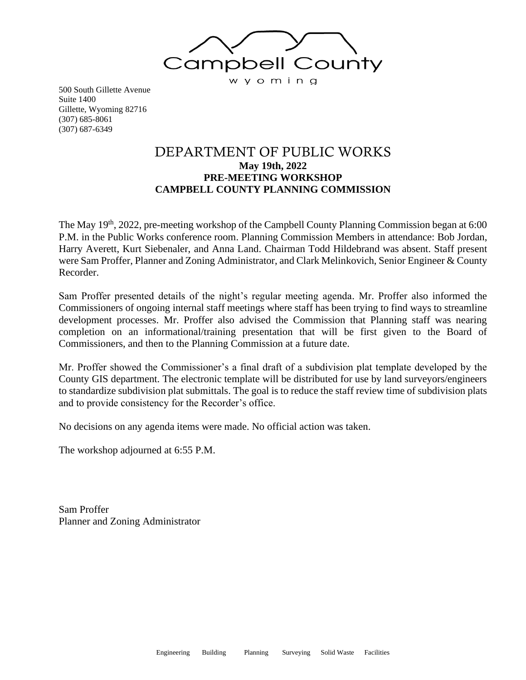

500 South Gillette Avenue Suite 1400 Gillette, Wyoming 82716 (307) 685-8061 (307) 687-6349

# DEPARTMENT OF PUBLIC WORKS **May 19th, 2022 PRE-MEETING WORKSHOP CAMPBELL COUNTY PLANNING COMMISSION**

The May 19<sup>th</sup>, 2022, pre-meeting workshop of the Campbell County Planning Commission began at 6:00 P.M. in the Public Works conference room. Planning Commission Members in attendance: Bob Jordan, Harry Averett, Kurt Siebenaler, and Anna Land. Chairman Todd Hildebrand was absent. Staff present were Sam Proffer, Planner and Zoning Administrator, and Clark Melinkovich, Senior Engineer & County Recorder.

Sam Proffer presented details of the night's regular meeting agenda. Mr. Proffer also informed the Commissioners of ongoing internal staff meetings where staff has been trying to find ways to streamline development processes. Mr. Proffer also advised the Commission that Planning staff was nearing completion on an informational/training presentation that will be first given to the Board of Commissioners, and then to the Planning Commission at a future date.

Mr. Proffer showed the Commissioner's a final draft of a subdivision plat template developed by the County GIS department. The electronic template will be distributed for use by land surveyors/engineers to standardize subdivision plat submittals. The goal is to reduce the staff review time of subdivision plats and to provide consistency for the Recorder's office.

No decisions on any agenda items were made. No official action was taken.

The workshop adjourned at 6:55 P.M.

Sam Proffer Planner and Zoning Administrator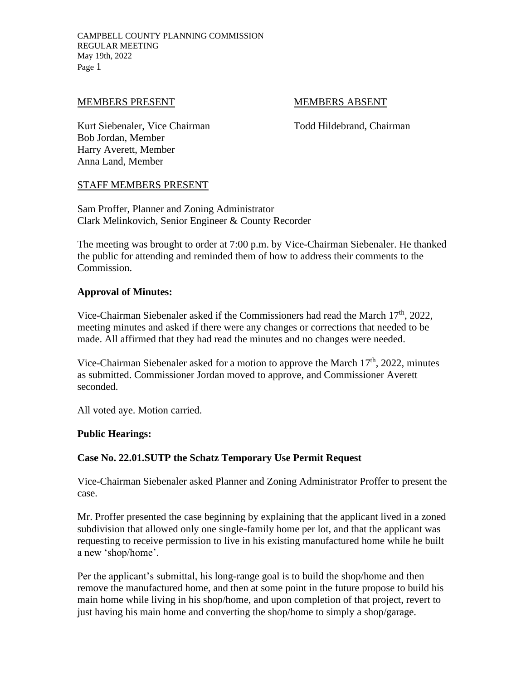## MEMBERS PRESENT MEMBERS ABSENT

Kurt Siebenaler, Vice Chairman Todd Hildebrand, Chairman Bob Jordan, Member Harry Averett, Member Anna Land, Member

## STAFF MEMBERS PRESENT

Sam Proffer, Planner and Zoning Administrator Clark Melinkovich, Senior Engineer & County Recorder

The meeting was brought to order at 7:00 p.m. by Vice-Chairman Siebenaler. He thanked the public for attending and reminded them of how to address their comments to the Commission.

## **Approval of Minutes:**

Vice-Chairman Siebenaler asked if the Commissioners had read the March 17<sup>th</sup>, 2022, meeting minutes and asked if there were any changes or corrections that needed to be made. All affirmed that they had read the minutes and no changes were needed.

Vice-Chairman Siebenaler asked for a motion to approve the March 17<sup>th</sup>, 2022, minutes as submitted. Commissioner Jordan moved to approve, and Commissioner Averett seconded.

All voted aye. Motion carried.

#### **Public Hearings:**

## **Case No. 22.01.SUTP the Schatz Temporary Use Permit Request**

Vice-Chairman Siebenaler asked Planner and Zoning Administrator Proffer to present the case.

Mr. Proffer presented the case beginning by explaining that the applicant lived in a zoned subdivision that allowed only one single-family home per lot, and that the applicant was requesting to receive permission to live in his existing manufactured home while he built a new 'shop/home'.

Per the applicant's submittal, his long-range goal is to build the shop/home and then remove the manufactured home, and then at some point in the future propose to build his main home while living in his shop/home, and upon completion of that project, revert to just having his main home and converting the shop/home to simply a shop/garage.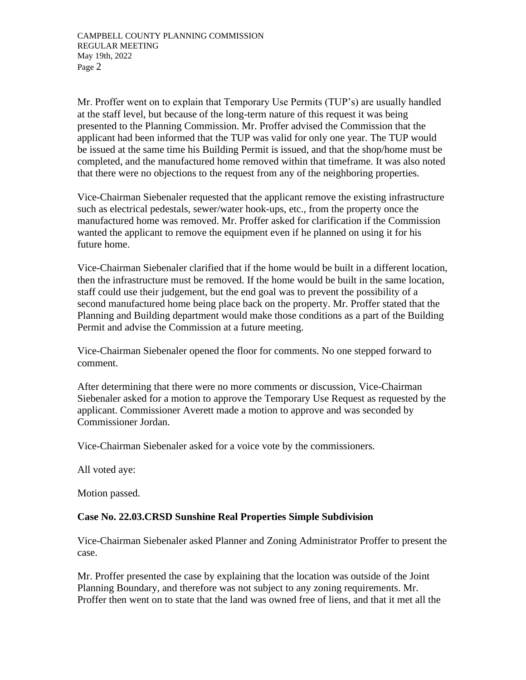Mr. Proffer went on to explain that Temporary Use Permits (TUP's) are usually handled at the staff level, but because of the long-term nature of this request it was being presented to the Planning Commission. Mr. Proffer advised the Commission that the applicant had been informed that the TUP was valid for only one year. The TUP would be issued at the same time his Building Permit is issued, and that the shop/home must be completed, and the manufactured home removed within that timeframe. It was also noted that there were no objections to the request from any of the neighboring properties.

Vice-Chairman Siebenaler requested that the applicant remove the existing infrastructure such as electrical pedestals, sewer/water hook-ups, etc., from the property once the manufactured home was removed. Mr. Proffer asked for clarification if the Commission wanted the applicant to remove the equipment even if he planned on using it for his future home.

Vice-Chairman Siebenaler clarified that if the home would be built in a different location, then the infrastructure must be removed. If the home would be built in the same location, staff could use their judgement, but the end goal was to prevent the possibility of a second manufactured home being place back on the property. Mr. Proffer stated that the Planning and Building department would make those conditions as a part of the Building Permit and advise the Commission at a future meeting.

Vice-Chairman Siebenaler opened the floor for comments. No one stepped forward to comment.

After determining that there were no more comments or discussion, Vice-Chairman Siebenaler asked for a motion to approve the Temporary Use Request as requested by the applicant. Commissioner Averett made a motion to approve and was seconded by Commissioner Jordan.

Vice-Chairman Siebenaler asked for a voice vote by the commissioners.

All voted aye:

Motion passed.

## **Case No. 22.03.CRSD Sunshine Real Properties Simple Subdivision**

Vice-Chairman Siebenaler asked Planner and Zoning Administrator Proffer to present the case.

Mr. Proffer presented the case by explaining that the location was outside of the Joint Planning Boundary, and therefore was not subject to any zoning requirements. Mr. Proffer then went on to state that the land was owned free of liens, and that it met all the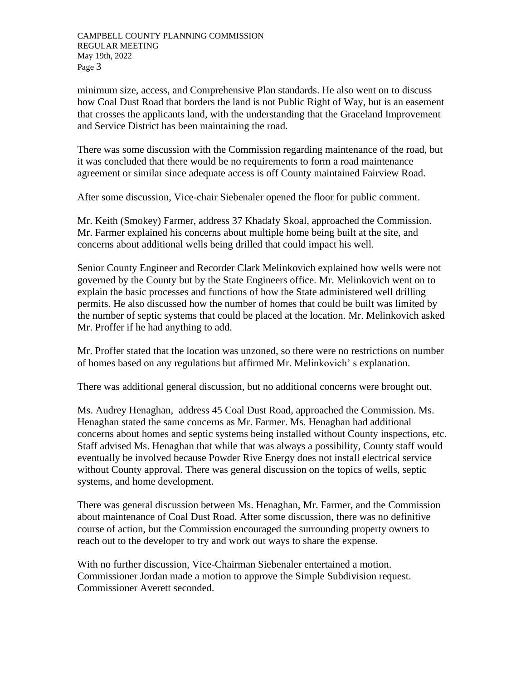minimum size, access, and Comprehensive Plan standards. He also went on to discuss how Coal Dust Road that borders the land is not Public Right of Way, but is an easement that crosses the applicants land, with the understanding that the Graceland Improvement and Service District has been maintaining the road.

There was some discussion with the Commission regarding maintenance of the road, but it was concluded that there would be no requirements to form a road maintenance agreement or similar since adequate access is off County maintained Fairview Road.

After some discussion, Vice-chair Siebenaler opened the floor for public comment.

Mr. Keith (Smokey) Farmer, address 37 Khadafy Skoal, approached the Commission. Mr. Farmer explained his concerns about multiple home being built at the site, and concerns about additional wells being drilled that could impact his well.

Senior County Engineer and Recorder Clark Melinkovich explained how wells were not governed by the County but by the State Engineers office. Mr. Melinkovich went on to explain the basic processes and functions of how the State administered well drilling permits. He also discussed how the number of homes that could be built was limited by the number of septic systems that could be placed at the location. Mr. Melinkovich asked Mr. Proffer if he had anything to add.

Mr. Proffer stated that the location was unzoned, so there were no restrictions on number of homes based on any regulations but affirmed Mr. Melinkovich' s explanation.

There was additional general discussion, but no additional concerns were brought out.

Ms. Audrey Henaghan, address 45 Coal Dust Road, approached the Commission. Ms. Henaghan stated the same concerns as Mr. Farmer. Ms. Henaghan had additional concerns about homes and septic systems being installed without County inspections, etc. Staff advised Ms. Henaghan that while that was always a possibility, County staff would eventually be involved because Powder Rive Energy does not install electrical service without County approval. There was general discussion on the topics of wells, septic systems, and home development.

There was general discussion between Ms. Henaghan, Mr. Farmer, and the Commission about maintenance of Coal Dust Road. After some discussion, there was no definitive course of action, but the Commission encouraged the surrounding property owners to reach out to the developer to try and work out ways to share the expense.

With no further discussion, Vice-Chairman Siebenaler entertained a motion. Commissioner Jordan made a motion to approve the Simple Subdivision request. Commissioner Averett seconded.